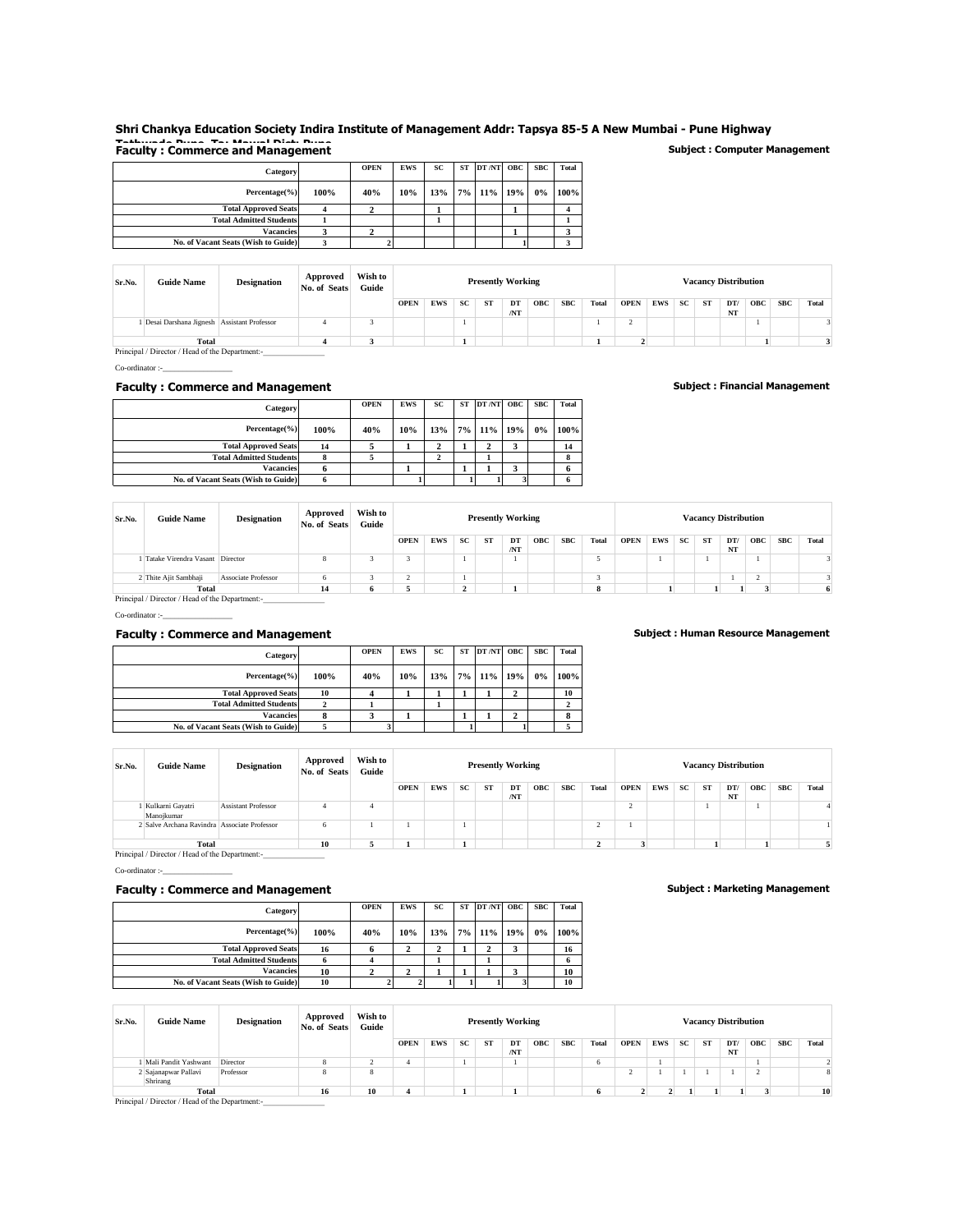# **Shri Chankya Education Society Indira Institute of Management Addr: Tapsya 85-5 A New Mumbai - Pune Highway Tathwade Pune Ta: Mawal Dist: Pune Faculty : Commerce and Management Subject : Computer Management**

| Category                            |      | <b>OPEN</b> | <b>EWS</b> | SC  | <b>ST</b> | DT/NT OBC  | <b>SBC</b> | <b>Total</b> |
|-------------------------------------|------|-------------|------------|-----|-----------|------------|------------|--------------|
| Percentage(%)                       | 100% | 40%         | 10%        | 13% |           | 7% 11% 19% | 0%         | 100%         |
| <b>Total Approved Seats</b>         |      |             |            |     |           |            |            |              |
| <b>Total Admitted Students</b>      |      |             |            |     |           |            |            |              |
| <b>Vacancies</b>                    |      |             |            |     |           |            |            |              |
| No. of Vacant Seats (Wish to Guide) |      |             |            |     |           |            |            |              |

| Sr.No. | <b>Guide Name</b>                          | <b>Designation</b> | Approved<br>No. of Seats | Wish to<br>Guide |             |            |           | <b>Presently Working</b> |          |            |            |       |                          |            |    |    | <b>Vacancy Distribution</b> |            |            |       |
|--------|--------------------------------------------|--------------------|--------------------------|------------------|-------------|------------|-----------|--------------------------|----------|------------|------------|-------|--------------------------|------------|----|----|-----------------------------|------------|------------|-------|
|        |                                            |                    |                          |                  | <b>OPEN</b> | <b>EWS</b> | <b>SC</b> | <b>ST</b>                | DT<br>NT | <b>OBC</b> | <b>SBC</b> | Total | <b>OPEN</b>              | <b>EWS</b> | SC | ST | DT/<br>NT                   | <b>OBC</b> | <b>SBC</b> | Total |
|        | Desai Darshana Jignesh Assistant Professor |                    |                          |                  |             |            |           |                          |          |            |            |       | $\overline{\phantom{a}}$ |            |    |    |                             |            |            |       |
|        | Total                                      |                    |                          |                  |             |            |           |                          |          |            |            |       |                          |            |    |    |                             |            |            |       |

**Total**Principal / Director / Head of the Department:-<br> **Principal / Director / Head of the Department:-**

 $Co\text{-}ordinate:$ 

### **Faculty : Commerce and Management Subject : Financial Management**

| Category                            |      | <b>OPEN</b> | <b>EWS</b> | SC  | ST DT/NT OBC | <b>SBC</b> | Total |
|-------------------------------------|------|-------------|------------|-----|--------------|------------|-------|
| Percentage(%)                       | 100% | 40%         | 10%        | 13% | 7% 11% 19%   | 0%         | 100%  |
| <b>Total Approved Seats</b>         | 14   |             |            |     |              |            | 14    |
| <b>Total Admitted Students</b>      |      |             |            |     |              |            | 8     |
| <b>Vacancies</b>                    |      |             |            |     |              |            | 6     |
| No. of Vacant Seats (Wish to Guide) |      |             |            |     |              |            | 6     |

| Sr.No.                                          | <b>Guide Name</b>               | <b>Designation</b>         | Approved<br>No. of Seats | Wish to<br>Guide |             |            |    | <b>Presently Working</b> |     |            |            |       |             |            |           |    | <b>Vacancy Distribution</b> |            |            |       |
|-------------------------------------------------|---------------------------------|----------------------------|--------------------------|------------------|-------------|------------|----|--------------------------|-----|------------|------------|-------|-------------|------------|-----------|----|-----------------------------|------------|------------|-------|
|                                                 |                                 |                            |                          |                  | <b>OPEN</b> | <b>EWS</b> | SC | <b>ST</b>                | DT  | <b>OBC</b> | <b>SBC</b> | Total | <b>OPEN</b> | <b>EWS</b> | <b>SC</b> | ST | DT/                         | <b>OBC</b> | <b>SBC</b> | Total |
|                                                 |                                 |                            |                          |                  |             |            |    |                          | /NT |            |            |       |             |            |           |    | NT                          |            |            |       |
|                                                 | Tatake Virendra Vasant Director |                            |                          |                  |             |            |    |                          |     |            |            |       |             |            |           |    |                             |            |            |       |
|                                                 | 2 Thite Ajit Sambhaji           | <b>Associate Professor</b> |                          |                  |             |            |    |                          |     |            |            |       |             |            |           |    |                             |            |            |       |
|                                                 | Total                           |                            | 14                       |                  |             |            |    |                          |     |            |            | 8     |             |            |           |    |                             |            |            | 6.    |
| Principal / Director / Head of the Department:- |                                 |                            |                          |                  |             |            |    |                          |     |            |            |       |             |            |           |    |                             |            |            |       |

 $Co\text{-}ordinate:$ 

#### **Faculty : Commerce and Management Subject : Human Resource Management**

| Category                            |      | <b>OPEN</b> | <b>EWS</b> | SC  | <b>ST</b> | DT/NT      | <b>OBC</b> | <b>SBC</b> | Total |
|-------------------------------------|------|-------------|------------|-----|-----------|------------|------------|------------|-------|
| Percentage(%)                       | 100% | 40%         | 10%        | 13% |           | 7% 11% 19% |            | 0%         | 100%  |
| <b>Total Approved Seats</b>         | 10   |             |            |     |           |            | 2          |            | 10    |
| <b>Total Admitted Students</b>      |      |             |            |     |           |            |            |            |       |
| Vacancies                           |      |             |            |     |           |            | ◠          |            |       |
| No. of Vacant Seats (Wish to Guide) |      |             |            |     |           |            |            |            |       |

| Sr.No. | <b>Guide Name</b>                               | <b>Designation</b>         | Approved<br>No. of Seats | Wish to<br>Guide |             |            |    | <b>Presently Working</b> |     |            |            |       |             |            |           |           | <b>Vacancy Distribution</b> |            |     |       |
|--------|-------------------------------------------------|----------------------------|--------------------------|------------------|-------------|------------|----|--------------------------|-----|------------|------------|-------|-------------|------------|-----------|-----------|-----------------------------|------------|-----|-------|
|        |                                                 |                            |                          |                  | <b>OPEN</b> | <b>EWS</b> | SC | ST                       | DT  | <b>OBC</b> | <b>SBC</b> | Total | <b>OPEN</b> | <b>EWS</b> | <b>SC</b> | <b>ST</b> | DT/                         | <b>OBC</b> | SBC | Total |
|        |                                                 |                            |                          |                  |             |            |    |                          | /NT |            |            |       |             |            |           |           | NT                          |            |     |       |
|        | Kulkarni Gayatri<br>Manojkumar                  | <b>Assistant Professor</b> |                          |                  |             |            |    |                          |     |            |            |       | ∠           |            |           |           |                             |            |     |       |
|        | 2 Salve Archana Ravindra Associate Professor    |                            | h                        |                  |             |            |    |                          |     |            |            |       |             |            |           |           |                             |            |     |       |
|        | Total                                           |                            | 10                       |                  |             |            |    |                          |     |            |            |       |             |            |           |           |                             |            |     |       |
|        | Principal / Director / Head of the Department:- |                            |                          |                  |             |            |    |                          |     |            |            |       |             |            |           |           |                             |            |     |       |

 $Co\text{-}ordinate:$ 

## **Faculty : Commerce and Management Subject : Marketing Management**

| Category                            |      | <b>OPEN</b> | <b>EWS</b> | SC  | ST DT/NT OBC | <b>SBC</b> | Total |
|-------------------------------------|------|-------------|------------|-----|--------------|------------|-------|
| Percentage(%)                       | 100% | 40%         | 10%        | 13% | 7% 11% 19%   | $0\%$      | 100%  |
| <b>Total Approved Seats</b>         | 16   |             |            |     |              |            | 16    |
| <b>Total Admitted Students</b>      |      |             |            |     |              |            |       |
| <b>Vacancies</b>                    | 10   |             |            |     |              |            | 10    |
| No. of Vacant Seats (Wish to Guide) | 10   |             |            |     |              |            | 10    |

| Sr.No. | <b>Guide Name</b>                               | <b>Designation</b> | Approved<br>No. of Seats | Wish to<br>Guide |             |            |           | <b>Presently Working</b> |           |            |            |       |             |            |           |           | <b>Vacancy Distribution</b> |               |            |       |
|--------|-------------------------------------------------|--------------------|--------------------------|------------------|-------------|------------|-----------|--------------------------|-----------|------------|------------|-------|-------------|------------|-----------|-----------|-----------------------------|---------------|------------|-------|
|        |                                                 |                    |                          |                  | <b>OPEN</b> | <b>EWS</b> | <b>SC</b> | ST                       | DT<br>/NT | <b>OBC</b> | <b>SBC</b> | Total | <b>OPEN</b> | <b>EWS</b> | <b>SC</b> | <b>ST</b> | DT/<br>NT                   | <b>OBC</b>    | <b>SBC</b> | Total |
|        | Mali Pandit Yashwant                            | Director           |                          |                  |             |            |           |                          |           |            |            | n     |             |            |           |           |                             |               |            |       |
|        | 2 Sajanapwar Pallavi<br>Shrirang                | Professor          | ×                        |                  |             |            |           |                          |           |            |            |       |             |            |           |           |                             | $\gamma$<br>∠ |            |       |
|        | Total                                           |                    | 16                       | 10               |             |            |           |                          |           |            |            |       |             |            |           |           |                             |               |            | 10    |
|        | Principal / Director / Head of the Department:- |                    |                          |                  |             |            |           |                          |           |            |            |       |             |            |           |           |                             |               |            |       |

| Category                            |      | <b>OPEN</b> | <b>EWS</b> | SC  | <b>ST</b> | DT/NT OBC  | <b>SBC</b> | Tota             |
|-------------------------------------|------|-------------|------------|-----|-----------|------------|------------|------------------|
| Percentage(%)                       | 100% | 40%         | 10%        | 13% |           | 7% 11% 19% | $0\%$      | 100 <sup>o</sup> |
| <b>Total Approved Seats</b>         |      |             |            |     |           |            |            |                  |
| <b>Total Admitted Students</b>      |      |             |            |     |           |            |            |                  |
| <b>Vacancies</b>                    |      |             |            |     |           |            |            |                  |
| No. of Vacant Seats (Wish to Guide) |      |             |            |     |           |            |            |                  |